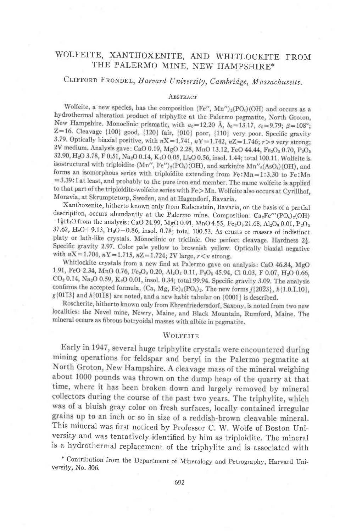# WOLFEITE, XANTHOXENITE, AND WHITLOCKITE FROM THE PALERMO MINE, NEW HAMPSHIRE\*

# CLIFFORD FRONDEL, Harvard University, Cambridge, Massachusetts.

#### ABSTRACT

Wolfeite, a new species, has the composition (Fe",  $Mn''$ )<sub>2</sub>(PO<sub>4</sub>)(OH) and occurs as a hydrothermal alteration product of triphylite at the Palermo pegmatite, North Groton, New Hampshire. Monoclinic prismatic, with  $a_0=12.20 \text{ Å}, b_0=13.17, c_0=9.79; \beta=108^\circ;$ Z=16. Cleavage [100] good, [120] fair, [010] poor, [110] very poor. Specific gravity 3.79. Optically biaxial positive, with  $nX=1.741$ ,  $nY=1.742$ ,  $nZ=1.746$ ;  $r>v$  very strong; 2V medium. Analysis gave: CaO 0.19, MgO 2.28, MnO 13.12, FeO 44.44, Fe2O3 0.70, P2O5 32.90, H<sub>2</sub>O 3.78, F 0.51, Na<sub>2</sub>O 0.14, K<sub>2</sub>O 0.05, Li<sub>2</sub>O 0.56, insol. 1.44; total 100.11. Wolfeite is isostructural with triploidite (Mn", Fe")<sub>2</sub>(PO<sub>4</sub>)(OH), and sarkinite Mn"<sub>2</sub>(AsO<sub>4</sub>)(OH), and forms an isomorphous series with triploidite extending from Fe: Mn=1:3.30 to Fe: Mn =3.39:1 at least, and probably to the pure iron end member. The name wolfeite is applied to that part of the triploidite-wolfeite series with Fe>Mn. Wolfeite also occurs at Cyrillhof, Moravia, at Skrumptetorp, Sweden, and at Hagendorf, Bavaria.

Xanthoxenite, hitherto known only from Rabenstein, Bavaria, on the basis of a partial description, occurs abundantly at the Palermo mine. Composition: Ca<sub>2</sub>Fe'"(PO<sub>4</sub>)<sub>2</sub>(OH)  $\cdot$  1<sup>1</sup>H<sub>2</sub>O from the analysis: CaO 24.99, MgO 0.91, MnO 4.55, Fe<sub>2</sub>O<sub>3</sub> 21.68, Al<sub>2</sub>O<sub>3</sub> 0.01, P<sub>2</sub>O<sub>5</sub> 37.62, H<sub>2</sub>O+9.13, H<sub>2</sub>O-0.86, insol. 0.78; total 100.53. As crusts or masses of indistinct platy or lath-like crystals. Monoclinic or triclinic. One perfect cleavage. Hardness 22. Specific gravity 2.97. Color pale yellow to brownish yellow. Optically biaxial negative with  $nX = 1.704$ ,  $nY = 1.715$ ,  $nZ = 1.724$ ; 2V large,  $r < v$  strong.

Whitlockite crystals from a new find at Palermo gave on analysis: CaO 46.84, MgO 1.91, FeO 2.34, MnO 0.76, Fe2O3 0.20, Al2O3 0.11, P2O5 45.94, Cl 0.03, F 0.07, H2O 0.66, CO<sub>2</sub> 0.14, Na<sub>2</sub>O 0.59, K<sub>2</sub>O 0.01, insol. 0.34; total 99.94. Specific gravity 3.09. The analysis confirms the accepted formula, (Ca, Mg, Fe)<sub>3</sub>(PO<sub>4</sub>)<sub>2</sub>. The new forms  $j$ {2023},  $k$ {1.0.1.10},  $g\{0113\}$  and  $h\{0118\}$  are noted, and a new habit tabular on  $\{0001\}$  is described.

Roscherite, hitherto known only from Ehrenfriedersdorf, Saxony, is noted from two new localities: the Nevel mine, Newry, Maine, and Black Mountain, Rumford, Maine. The mineral occurs as fibrous botryoidal masses with albite in pegmatite.

#### **WOLFEITE**

Early in 1947, several huge triphylite crystals were encountered during mining operations for feldspar and beryl in the Palermo pegmatite at North Groton, New Hampshire. A cleavage mass of the mineral weighing about 1000 pounds was thrown on the dump heap of the quarry at that time, where it has been broken down and largely removed by mineral collectors during the course of the past two years. The triphylite, which was of a bluish gray color on fresh surfaces, locally contained irregular grains up to an inch or so in size of a reddish-brown cleavable mineral. This mineral was first noticed by Professor C. W. Wolfe of Boston University and was tentatively identified by him as triploidite. The mineral is a hydrothermal replacement of the triphylite and is associated with

\* Contribution from the Department of Mineralogy and Petrography, Harvard University, No. 306.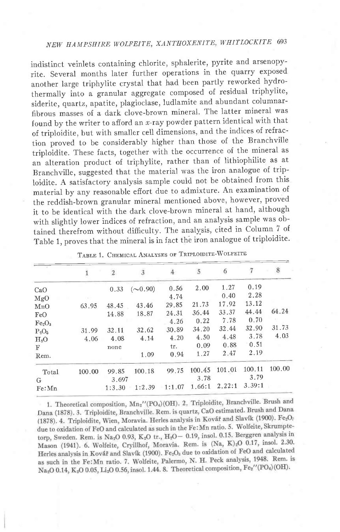# NEW HAMPSHIRE WOLFEITE, XANTHOXENITE, WHITLOCKITR <sup>693</sup>

indistinct veinlets containing chlorite, sphalerite, pyrite and arsenopyrite. Several months later further operations in the quarry exposed another large triphylite crystal that had been partly reworked hydrothermally into a granular aggregate composed of residual triphylite, siderite, quartz, apatite, plagioclase, ludlamite and abundant columnarfibrous masses of a dark clove-brown mineral. The latter mineral was found by the writer to afford an  $x$ -ray powder pattern identical with that of triploidite, but with smaller cell dimensions, and the indices of refraction proved to be considerably higher than those of the Branchville triploidite. These facts, together with the occurrence of the mineral as an alteration product of triphylite, rather than of lithiophilite as at Branchville, suggested that the material was the iron analogue of triploidite. A satisfactory analysis sample could not be obtained from this material by any reasonable effort due to admixture. An examination of the reddish-brown granular mineral mentioned above, however, proved it to be identical with the dark clove-brown mineral at hand, although with slightly lower indices of refraction, and an analysis sample was obtained therefrom without difficultv. The analysis, cited in Column 7 of Table 1, proves that the mineral is in fact the iron analogue of triploidite.

|                                |        | $\overline{2}$ | 3             | $4-$   | 5      | 6      | 7      | 8      |
|--------------------------------|--------|----------------|---------------|--------|--------|--------|--------|--------|
| CaO                            |        | 0.33           | $(\sim 0.90)$ | 0.56   | 2.00   | 1.27   | 0.19   |        |
| MgO                            |        |                |               | 4.74   |        | 0.40   | 2.28   |        |
| MnO                            | 63.95  | 48.45          | 43.46         | 29.85  | 21.73  | 17.92  | 13.12  |        |
| FeO                            |        | 14.88          | 18.87         | 24,31  | 36.44  | 33.37  | 44.44  | 64.24  |
| Fe <sub>2</sub> O <sub>3</sub> |        |                |               | 4.26   | 0.22   | 7.78   | 0.70   |        |
| $P_2O_5$                       | 31.99  | 32.11          | 32.62         | 30.89  | 34.20  | 32.44  | 32.90  | 31.73  |
| H <sub>2</sub> O               | 4.06   | 4.08           | 4.14          | 4.20   | 4.50   | 4.48   | 3.78   | 4.03   |
| F                              |        | none           |               | tr.    | 0.09   | 0.88   | 0.51   |        |
| Rem.                           |        |                | 1.09          | 0.94   | 1.27   | 2.47   | 2.19   |        |
| Total                          | 100.00 | 99.85          | 100.18        | 99.75  | 100.45 | 101.01 | 100.11 | 100.00 |
| G                              |        | 3.697          |               |        | 3.78   |        | 3.79   |        |
| Fe: Mn                         |        | 1:3.30         | 1:2.39        | 1:1.07 | 1.66:1 | 2.22:1 | 3.39:1 |        |
|                                |        |                |               |        |        |        |        |        |

| TABLE 1. CHEMICAL ANALYSES OF TRIPLOIDITE-WOLFEITE |  |
|----------------------------------------------------|--|
|----------------------------------------------------|--|

1. Theoretical composition, Mn2"(PO4)(OH). 2. Triploidite, Branchville. Brush and Dana (1878). 3. Triploidite, Branchville. Rem. is quartz, CaO estimated. Brush and Dana (1878). 4. Triploidite, Wien, Moravia. Herles analysis in Kovář and Slavík (1900). Fe<sub>2</sub>O<sub>7</sub> due to oxidation of FeO and calculated as such in the Fe: Mn ratio. 5. Wolfeite, Skrumptetorp, Sweden. Rem. is  $Na<sub>2</sub>O$  0.93,  $K<sub>2</sub>O$  tr.,  $H<sub>2</sub>O - 0.19$ , insol. 0.15. Berggren analysis in Mason (1941). 6. Wolfeite, Cryillhof, Moravia. Rem. is (Na, K)<sub>2</sub>O 0.17, insol. 2.30. Herles analysis in Kovář and Slavík (1900). Fe<sub>2</sub>O<sub>3</sub> due to oxidation of FeO and calculated as such in the Fe: Mn ratio. 7. Wolfeite, Palermo, N. H. Peck analysis, 1948. Rem. is Na<sub>2</sub>O 0.14, K<sub>2</sub>O 0.05, Li<sub>2</sub>O 0.56, insol. 1.44. 8. Theoretical composition, Fe<sub>2</sub><sup> $\prime$ </sup>(PO<sub>4</sub>)(OH).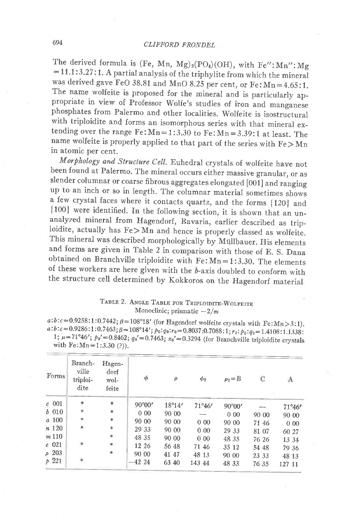The derived formula is (Fe, Mn, Mg)<sub>2</sub>(PO<sub>4</sub>)(OH), with Fe": Mn": Mg  $=11.1:3.27:1$ . A partial analysis of the triphylite from which the mineral was derived gave FeO 38.81 and MnO 8.25 per cent, or Fe:  $Mn=4.65$ :1. The name wolfeite is proposed for the mineral and is particularly appropriate in view of Professor Wolfe's studies of iron and manganese phosphates from Palermo and other localities. wolfeite is isostructural with triploidite and forms an isomorphous series with that mineral extending over the range  $Fe:Mn=1:3.30$  to  $Fe:Mn=3.39:1$  at least. The name wolfeite is properly applied to that part of the series with  $Fe > Mn$ in atomic per cent.

Morphology and Structure Cell. Euhedral crystals of wolfeite have not been found at Palermo, The mineral occurs either massive granular, or as slender columnar or coarse fibrous aggregates elongated [00i] and ranging up to an inch or so in length. The columnar material sometimes shows a few crystal faces where it contacts quartz, and the forms {120} and {100} were identified. In the following section, it is shown that an unanalyzed mineral from Hagendorf, Bavaria, earlier described as triploidite, actually has  $Fe > \widetilde{Mn}$  and hence is properly classed as wolfeite. This mineral was described morphologically by Miillbauer. His elements and forms are given in Table 2 in comparison with those of E. S. Dana obtained on Branchville triploidite with  $Fe: Mn=1:3.30$ . The elements of these workers are here given with the  $b$ -axis doubled to conform with the structure cell determined by Kokkoros on the Hagendorf material

## TABLE 2. ANGLE TABLE FOR TRIPLOIDITE-WOLFEITE Monoclinic; prismatic  $-2/m$

a: $b: c = 0.9258:1:0.7442$ ;  $\beta = 108^{\circ}18'$  (for Hagendorf wolfeite crystals with Fe:Mn > 3:1).<br>a: $b: c = 0.9286:1:0.7463$ ;  $\beta = 108^{\circ}14'$ ;  $p_0:q_0:r_0 = 0.8037:0.7088:1; r_2: p_2:q_2 = 1.4108:1.1338$ : 1;  $\mu = 71^{\circ}46'$ ;  $p_0' = 0.8462$ ;  $q_0' = 0.7463$ ;  $x_0' = 0.3294$  (for Branchville triploidite crystals with Fe:Mn = 1:3.30 (?)).

| Forms             | Branch-<br>ville<br>triploi-<br>dite | Hagen-<br>dorf<br>wol-<br>feite | $\phi$          | $\rho$ | $\phi_2$        | $\rho_2 = B$    | C     | $\Lambda$ |
|-------------------|--------------------------------------|---------------------------------|-----------------|--------|-----------------|-----------------|-------|-----------|
| $c$ 001           | *                                    | ¥.                              | $90^{\circ}00'$ | 18°14' | $71^{\circ}46'$ | $90^{\circ}00'$ |       | 71°46'    |
| $b$ 010           | $\ast$                               | *                               | 0.00            | 90 00  |                 | 000             | 90 00 | 90 00     |
| a 100             | $\ast$                               | *                               | 90 00           | 90 00  | 000             | 90 00           | 71 46 | 000       |
| n 120             | *                                    | $\ast$                          | 29 33           | 90 00  | 000             | 29 33           | 81 07 | 60 27     |
| m110              |                                      | $*$                             | 48 35           | 90 00  | 0.00            | 48 35           | 76 26 | 13 34     |
| $e$ 021           | ¥                                    | $\ast$                          | 12 26           | 56 48  | 71 46           | 35 12           | 54 48 | 79 36     |
| $\rho$ 203        |                                      | *                               | 90 00           | 41 47  | 48 13           | 90 00           | 23 33 | 48 13     |
| $p\overline{221}$ | $\ast$                               |                                 | $-42,24$        | 63 40  | 143 44          | 48 33           | 76 35 | 127 11    |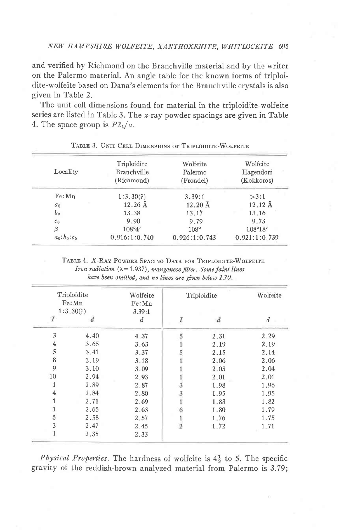and verified by Richmond on the Branchville material and by the writer on the Palermo material. An angle table for the known forms of triploidite-wolfeite based on Dana's elements for the Branchville crystals is also given in Table 2.

The unit cell dimensions found for material in the triploidite-wolfeite series are listed in Table 3. The  $x$ -ray powder spacings are given in Table 4. The space group is  $P2_1/a$ .

|                | Triploidite       | Wolfeite          | Wolfeite          |
|----------------|-------------------|-------------------|-------------------|
| Locality       | Branchville       | Palermo           | Hagendorf         |
|                | (Richmond)        | (Frondel)         | (Kokkoros)        |
| Fe: Mn         | 1:3.30(?)         | 3.39:1            | >3:1              |
| a <sub>0</sub> | $12.26 \text{ Å}$ | $12.20 \text{ Å}$ | $12.12 \text{ Å}$ |
| b <sub>0</sub> | 13.38             | 13.17             | 13.16             |
| c <sub>0</sub> | 9.90              | 9.79              | 9.73              |
| β              | 108°4'            | 108°              | $1.08^{\circ}18'$ |
| $a_0:b_0:c_0$  | 0.916:1:0.740     | 0.926:1:0.743     | 0.921:1:0.739     |

### TABLE 3. UNIT CELL DIMENSIONS OF TRIPLOIDITE-WOLFEITE

TABLE 4. X-RAY POWDER SPACING DATA FOR TRIPLOIDITE-WOLFEITE Iron radiation  $(\lambda = 1.937)$ , manganese filter. Some faint lines have been omitted, and no lines are given below 1.70.

|                | Triploidite<br>Fe:Mn | Wolfeite<br>Fe:Mn |   | Triploidite    |                  |  |
|----------------|----------------------|-------------------|---|----------------|------------------|--|
|                | 1:3.30(?)            | 3.39:1            |   |                |                  |  |
|                | đ.                   | d                 | I | $\overline{d}$ | $\boldsymbol{d}$ |  |
| 3              | 4.40                 | 4.37              |   | 2.31           | 2.29             |  |
| $\overline{4}$ | 3.65                 | 3.63              |   | 2.19           | 2.19             |  |
| 5              | 3.41                 | 3.37              |   | 2.15           | 2.14             |  |
| 8              | 3.19                 | 3.18              |   | 2.06           | 2,06             |  |
| 9              | 3.10                 | 3.09              |   | 2.05           | 2.04             |  |
| 10             | 2.94                 | 2.93              |   | 2,01           | 2.01             |  |
|                | 2.89                 | 2.87              |   | 1.98           | 1.96             |  |
| 4              | 2.84                 | 2.80              |   | 1.95           | 1.95             |  |
|                | 2.71                 | 2.69              |   | 1.83           | 1.82             |  |
|                | 2.65                 | 2.63              |   | 1.80           | 1.79             |  |
| 5              | 2.58                 | 2.57              |   | 1.76           | 1.75             |  |
| 3              | 2.47                 | 2.45              |   | 1.72           | 1.71             |  |
|                | 2.35                 | 2.33              |   |                |                  |  |

*Physical Properties.* The hardness of wolfeite is  $4\frac{1}{2}$  to 5. The specific gravity of the reddish-brown analyzed material from Palermo is 3.79;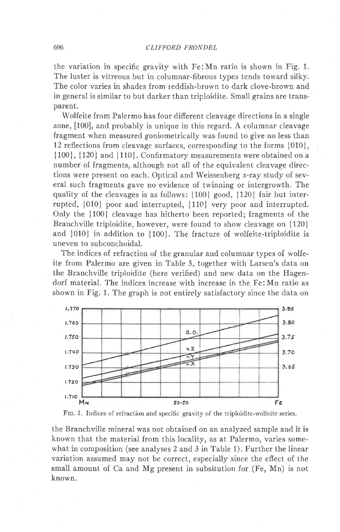#### CLIFFORD FRONDEL

the variation in specific gravity with Fe:Mn ratio is shown in Fig. 1. The luster is vitreous but in columnar-fibrous types tends toward silky. The color varies in shades from reddish-brown to dark clove-brown and in general is similar to but darker than triploidite. Small grains are transparent.

Wolfeite from Palermo has four different cleavage directions in a single zone, [100], and probably is unique in this regard. A columnar cleavage fragment when measured goniometrically was found to give no less than 12 reflections from cleavage surfaces, corresponding to the forms  $\{010\}$ , { 100}, { 120} and { 110}. Confirmatory measurements were obtained on a number of fragments, although not all of the equivalent cleavage directions were present on each. Optical and Weissenberg  $x$ -ray study of several such fragments gave no evidence of twinning or intergrowth. The quality of the cleavages is as follows:  $\{100\}$  good,  $\{120\}$  fair but interrupted, {010} poor and interrupted, {110} very poor and interrupted. Only the {100} cleavage has hitherto been reported; fragments of the Branchville triploidite, however, were found to show cleavage on {120} and  ${010}$  in addition to  ${100}$ . The fracture of wolfeite-triploidite is uneven to subconchoidal.

The indices of refraction of the granular and columnar types of wolfeite from Palermo are given in Table 5, together with Larsen's data on the Branchville triploidite (here verified) and new data on the Hagendorf material. The indices increase with increase in the Fe:Mn ratio as shown in Fig. 1. The graph is not entirely satisfactory since the data on





the Branchville mineral was not obtained on an analyzed sample and it is known that the material from this locality, as at Palermo, varies somewhat in composition (see analyses 2 and 3 in Table 1). Further the linear variation assumed may not be correct, especially since the effect of the small amount of Ca and Mg present in subsitution for (Fe, Mn) is not known.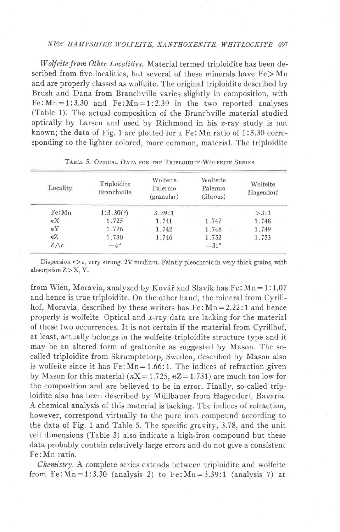## NEW HAMPSEIRE WOLFEITE, XANTHOXENITE, WHITLOCKITE 697

Wolfeite from Other Localities. Material termed triploidite has been described from five localities, but several of these minerals have  $Fe > Mn$ and are properly classed as wolfeite. The original triploidite described by Brush and Dana from Branchville varies slightly in composition, with  $Fe:Mn=1:3.30$  and  $Fe:Mn=1:2.39$  in the two reported analyses (Table 1). The actual composition of the Branchville material studied optically by Larsen and used by Richmond in his  $x$ -ray study is not known; the data of Fig. 1 are plotted for a Fe:Mn ratio of 1:3.30 corresponding to the lighter colored, more common, material. The triploidite

| Locality     | Triploidite<br>Branchville | Wolfeite<br>Palermo<br>$($ granular $)$ | Wolfeite<br>Palermo<br>(fibrous) | Wolfeite<br>Hagendorf |
|--------------|----------------------------|-----------------------------------------|----------------------------------|-----------------------|
| Fe: Mn       | 1:3.30(?)                  | 3.39:1                                  |                                  | >3:1                  |
| nX           | 1.725                      | 1.741                                   | 1.747                            | 1.748                 |
| nY           | 1.726                      | 1.742                                   | 1.748                            | 1.749                 |
| nZ           | 1.730                      | 1.746                                   | 1.752                            | 1.753                 |
| $Z \wedge c$ | $-4^\circ$                 |                                         | $-31^\circ$                      |                       |

### TABLE 5. OPTICAL DATA FOR THE TRIPLOIDITE-WOLFEITE SERIES

Dispersion  $r > v$ , very strong. 2V medium. Faintly pleochroic in very thick grains, with absorption  $Z > X$ , Y.

from Wien, Moravia, analyzed by Kovář and Slavík has  $Fe: Mn = 1:1.07$ and hence is true triploidite. On the other hand, the mineral from Cyrillhof, Moravia, described by these writers has  $Fe: Mn = 2.22:1$  and hence properly is wolfeite. Optical and  $x$ -ray data are lacking for the material of these two occurrences. It is not certain if the material from Cyrillhof, at least, actually belongs in the wolfeite-triploidite structure type and it may be an altered form of graftonite as suggested by Mason. The socalled triploidite from Skrumptetorp, Sweden, described by Mason also is wolfeite since it has  $Fe: Mn=1.66:1$ . The indices of refraction given by Mason for this material ( $nX=1.725$ ,  $nZ=1.731$ ) are much too low for the composition and are believed to be in error. Finally, so-called triploidite also has been described by Miillbauer from Hagendorf, Bavaria. A chemical analysis of this material is lacking. The indices of refraction, however, correspond virtually to the pure iron compound according to the data of Fig. 1 and Table 5. The specific gravity, 3.78, and the unit cell dimensions (Table 3) also indicate a high-iron compound but these data probably contain relatively large errors and do not give a consistent Fe:Mn ratio.

Chemistry. A complete series extends between triploidite and wolfeite from Fe:  $Mn=1:3.30$  (analysis 2) to Fe:  $Mn=3.39:1$  (analysis 7) at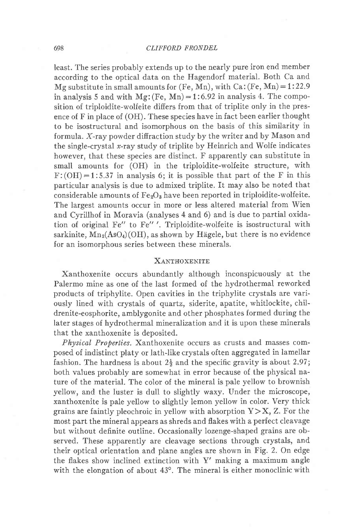Ieast. The series probably extends up to the nearly pure iron end member according to the optical data on the Hagendorf material. Both Ca and Mg substitute in small amounts for (Fe, Mn), with  $Ca$ : (Fe, Mn) = 1:22.9 in analysis 5 and with  $Mg$ : (Fe, Mn) = 1:6.92 in analysis 4. The composition of triploidite-wolfeite differs from that of triplite only in the presence of F in place of (OH). These species have in fact been earlier thought to be isostructural and isomorphous on the basis of this similarity in formula. X-ray powder diffraction study by the writer and by Mason and the single-crystal  $x$ -ray study of triplite by Heinrich and Wolfe indicates however, that these species are distinct. F apparently can substitute in small amounts for (OH) in the triploidite-wolfeite structure, with  $F:(OH)=1:5.37$  in analysis 6; it is possible that part of the F in this particular analysis is due to admixed triplite. It may also be noted that considerable amounts of  $Fe<sub>2</sub>O<sub>3</sub>$  have been reported in triploidite-wolfeite. The largest amounts occur in more or less altered material from Wien and Cyrillhof in Moravia (analyses 4 and 6) and is due to partial oxidation of original Fe" to Fe" '. Triploidite-wolfeite is isostructural with sarkinite,  $Mn_2(AsO_4)(OH)$ , as shown by Hägele, but there is no evidence for an isomorphous series between these minerals.

### XANTHOXENITE

Xanthoxenite occurs abundantly although inconspicuously at the Palermo mine as one of the last formed of the hydrothermal reworked products of triphylite. Open cavities in the triphylite crystals are variously lined with crystals of quartz, siderite, apatite, whitlockite, childrenite-eosphorite, amblygonite and other phosphates formed during the later stages of hydrothermal mineralization and it is upon these minerals that the xanthoxenite is deposited.

Physical Properties. Xanthoxenite occurs as crusts and masses composed of indistinct platy or lath-like crystals often aggregated in lamellar fashion. The hardness is about  $2\frac{1}{2}$  and the specific gravity is about 2.97; both values probably are somewhat in error because of the physical nature of the material. The color of the mineral is pale yellow to brownish yellow, and the luster is dull to slightly waxy. Under the microscope, xanthoxenite is pale yellow to slightly lemon yellow in color. Very thick grains are faintly pleochroic in yellow with absorption  $Y\geq X$ , Z. For the most part the mineral appears as shreds and flakes with a perfect cleavage but without definite outline. Occasionally lozenge-shaped grains are observed. These apparently are cleavage sections through crystals, and their optical orientation and plane angles are shown in Fig. 2. On edge the flakes show inclined extinction with Y' making a maximum angle with the elongation of about  $43^\circ$ . The mineral is either monoclinic with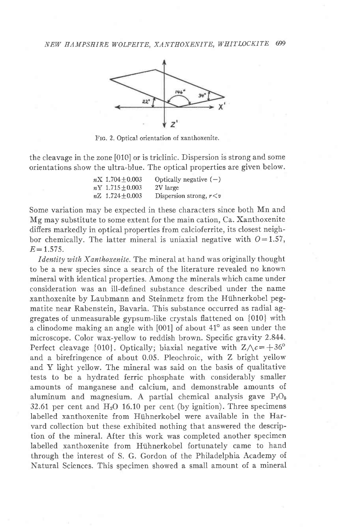

Frc. 2. Optical orientation of xanthoxenite.

the cleavage in the zone [010] or is triclinic. Dispersion is strong and some orientations show the ultra-blue. The optical properties are given below.

| $nX\;1.704\pm0.003$    | Optically negative $(-)$      |
|------------------------|-------------------------------|
| $nY\ 1.715 \pm 0.003$  | 2V large                      |
| $nZ$ 1.724 $\pm$ 0.003 | Dispersion strong, $r \leq v$ |

Some variation may be expected in these characters since both Mn and Mg may substitute to some extent for the main cation, Ca. Xanthoxenite differs markedly in optical properties from calcioferrite, its closest neighbor chemically. The latter mineral is uniaxial negative with  $0=1.57$ ,  $E = 1.575$ .

Identity with Xanthoxenite. The mineral at hand was originally thought to be a new species since a search of the literature revealed no known mineral with identical properties. Among the minerals which came under consideration was an ill-defined substance described under the name xanthoxenite by Laubmann and Steinmetz from the Hühnerkobel pegmatite near Rabenstein, Bavaria. This substance occurred as radial aggregates of unmeasurable gypsum-like crystals flattened on {010} with a clinodome making an angle with  $[001]$  of about  $41^\circ$  as seen under the microscope. Color wax-yellow to reddish brown. Specific gravity 2.844. Perfect cleavage {010}. Optically; biaxial negative with  $Z\wedge c=+36^{\circ}$ and a birefringence of about 0.05. Pleochroic, with Z bright yellow and Y light yellow. The mineral was said on the basis of qualitative tests to be a hydrated ferric phosphate with considerably smaller amounts of manganese and calcium, and demonstrable amounts of aluminum and magnesium. A partial chemical analysis gave  $P_2O_5$ 32.61 per cent and  $H_2O$  16.10 per cent (by ignition). Three specimens Iabelled xanthoxenite from Hiihnerkobel were available in the Harvard collection but these exhibited nothing that answered the description of the mineral. After this work was completed another specimen labelled xanthoxenite from Hühnerkobel fortunately came to hand through the interest of S. G. Gordon of the Philadelphia Academy of Natural Sciences. This specimen showed a small amount of a mineral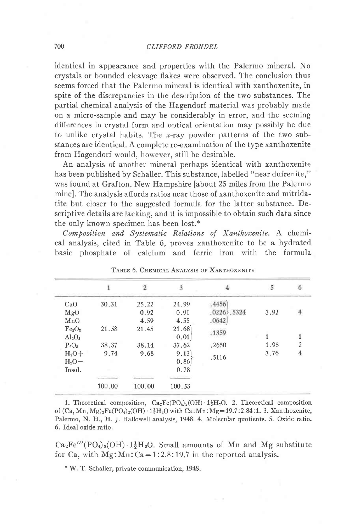identical in appearance and properties with the Palermo mineral. No crystals or bounded cleavage flakes were observed. The conclusion thus seems forced that the Palermo mineral is identical with xanthoxenite, in spite of the discrepancies in the description of the two substances. The partial chemical analysis of the Hagendorf material was probably made on a micro-sample and may be considerably in error, and the seeming differences in crystal form and optical orientation may possibly be due to unlike crystal habits. The x-ray powder patterns of the two substances are identical. A complete re-examination of the type xanthoxenite from Hagendorf would, however, still be desirable.

An analysis of another mineral perhaps identical with xanthoxenite has been published by Schaller. This substance, labelled "near dufrenite," was found at Grafton, New Hampshire [about 25 miles from the Palermo mine]. The analysis affords ratios near those of xanthoxenite and mitridatite but closer to the suggested formula for the latter substance. Descriptive details are lacking, and it is impossible to obtain such data since the only known specimen has been lost.\*

Composition and Systematic Relations of Xanthoxenite. A chemical analysis, cited in Table 6, proves xanthoxenite to be a hydrated basic phosphate of calcium and ferric iron with the formula

|                                |        | $\overline{2}$ | $\overline{3}$ | 4              | 5    | 6 |
|--------------------------------|--------|----------------|----------------|----------------|------|---|
| CaO                            | 30.31  | 25.22          | 24.99          | .4456          |      |   |
| MgO                            |        | 0.92           | 0.91           | $.0226$ , 5324 | 3.92 | 4 |
| MnO                            |        | 4.59           | 4.55           | .0642          |      |   |
| Fe <sub>2</sub> O <sub>3</sub> | 21.58  | 21.45          | 21.68          |                |      |   |
| $Al_2O_3$                      |        |                | 0.01           | .1359          |      |   |
| $P_2O_5$                       | 38.37  | 38.14          | 37.62          | .2650          | 1.95 | 2 |
| $H_2O+$                        | 9.74   | 9.68           | 9.13           |                | 3.76 | 4 |
| $H_2O-$                        |        |                | 0.86           | .5116          |      |   |
| Insol.                         |        |                | 0.78           |                |      |   |
|                                |        |                |                |                |      |   |
|                                | 100.00 | 100.00         | 100.53         |                |      |   |

| TABLE 6. CHEMICAL ANALYSIS OF XANTHOXENITE |  |
|--------------------------------------------|--|
|--------------------------------------------|--|

1. Theoretical composition,  $Ca_2Fe(PO_4)_2(OH) \tcdot 1\frac{1}{2}H_2O$ . 2. Theoretical composition of  $(Ca, Mn, Mg)<sub>2</sub>Fe(PO<sub>4</sub>)<sub>2</sub>(OH) \cdot 1\frac{1}{2}H<sub>2</sub>O with Ca:Mn:Mg=19.7:2.84:1.3. Xanthoxenite,$ Palermo, N. H., H. J. Hallowell analysis, 1948. 4. Molecuiar quotients. 5. Oxide ratio. 6. Ideal oxide ratio.

 $Ca<sub>2</sub>Fe'''(PO<sub>4</sub>)<sub>2</sub>(OH) \tcdot 1\frac{1}{2}H<sub>2</sub>O$ . Small amounts of Mn and Mg substitute for Ca, with  $Mg: Mn: Ca = 1:2.8:19.7$  in the reported analysis.

\* W. T. Schaller, private communication, 1948.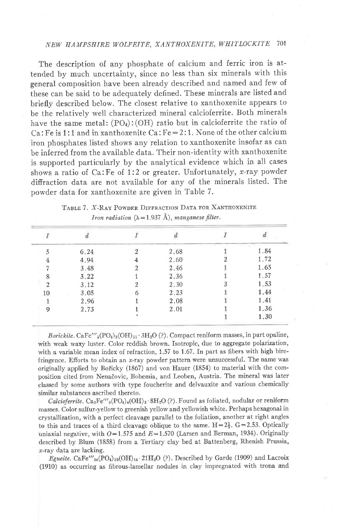# NEW HAMPSHIRE WOLFEITE, XANTHOXENITE, WHITLOCKITE 7OI

The description of any phosphate of calcium and ferric iron is attended by much uncertainty, since no less than six minerals with this general composition have been already described and named and few of these can be said to be adequately defined. These minerals are listed and briefly described below. The closest relative to xanthoxenite appears to be the relatively well characterized mineral calcioferrite. Both minerals have the same metal:  $(PO<sub>4</sub>)$ :  $(OH)$  ratio but in calcioferrite the ratio of Ca: Fe is 1:1 and in xanthoxenite Ca:  $Fe=2:1$ . None of the other calcium iron phosphates Iisted shows any relation to xanthoxenite insofar as can be inferred from the available data. Their non-identity with xanthoxenite is supported particularly by the analytical evidence which in all cases shows a ratio of  $Ca:Fe$  of 1:2 or greater. Unfortunately, x-ray powder difiraction data are not available for any of the minerals listed. The powder data for xanthoxenite are given in Table 7.

|    | 6.24 | 2.68 | 1.84 |
|----|------|------|------|
|    | 4.94 | 2.60 | 1.72 |
|    | 3.48 | 2.46 | 1.65 |
|    | 3.22 | 2.36 | 1.57 |
|    | 3.12 | 2.30 | 1.53 |
| 10 | 3.05 | 2.23 | 1.44 |
|    | 2.96 | 2.08 | 1.41 |
| Q  | 2.73 | 2.01 | 1.36 |
|    |      |      | 1.30 |

| TABLE 7. X-RAY POWDER DIFFRACTION DATA FOR XANTHOXENITE          |
|------------------------------------------------------------------|
| Iron radiation $(\lambda = 1.937 \text{ Å})$ , manganese filter. |

Borickite. CaFe'''<sub>5</sub>(PO<sub>4</sub>)<sub>2</sub>(OH)<sub>11</sub> · 3H<sub>2</sub>O (?). Compact reniform masses, in part opaline, with weak waxy luster. Color reddish brown. Isotropic, due to aggregate polarization, with a variable mean index of refraction,  $1.57$  to  $1.67$ . In part as fibers with high birefringence. Efforts to obtain an  $x$ -ray powder pattern were unsuccessful. The name was originally applied by Bořicky (1867) and von Hauer (1854) to material with the composition cited from Nenadovic, Bohemia, and Leoben, Austria. The mineral was later classed by some authors with type foucherite and delvauxite and various chemically similar substances ascribed thereto.

Calcioferrite.  $Ca_3Fe'''\n_3(PO_4)_4(OH)_3.8H_2O(?)$ . Found as foliated, nodular or reniform masses. Color sulfur-yellow to greenish yellow and yellowish white' Perhaps hexagonai in crystallization, with a perfect cleavage parallel to the foliation, another at right angles to this and traces of a third cleavage oblique to the same.  $H=2\frac{1}{2}$ .  $G=2.53$ . Optically uniaxial negative, with  $O=1.575$  and  $E=1.570$  (Larsen and Berman, 1934). Originally described by Blum (1858) from a Tertiary clay bed at Battenberg, Rhenish Prussia, r-ray data are lacking.

Egueite. CaFe<sup>'''</sup>14(PO<sub>4</sub>)10(OH)<sub>14</sub> . 21H<sub>2</sub>O (?). Described by Garde (1909) and Lacroix (1910) as occurring as fibrous-lamellar nodules in clay impregnated with trona and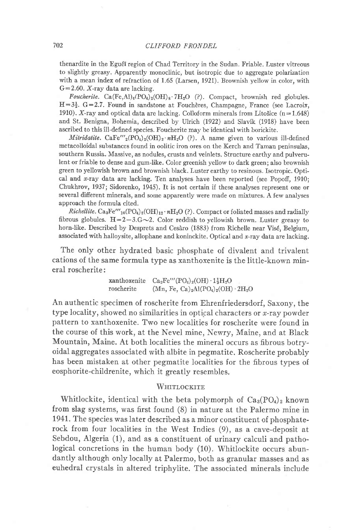thenardite in the Egu6i region of Chad Territory in the Sudan. Friable. Luster vitreous to slightly greasy. Apparently monoclinic, but isotropic due to aggregate polarization with a mean index of refraction of 1.65 (Larsen, 1921). Brownish yellow in color, with  $G=2.60$ . X-ray data are lacking.

Foucherite. Ca(Fe,Al)<sub>4</sub>(PO<sub>4</sub>)<sub>2</sub>(OH)<sub>8</sub>·7H<sub>2</sub>O (?). Compact, brownish red globules.  $H=3\frac{1}{2}$ , G=2.7. Found in sandstone at Foucheres, Champagne, France (see Lacroix, 1910). X-ray and optical data are lacking. Colloform minerals from Litošice  $(n=1.648)$ and St, Benigna, Bohemia, described by Ulrich (1922) and Slavik (1918) have been ascribed to this ill-defned species. Foucherite may be identical with borickite.

Mitridatite. CaFe'''<sub>2</sub>(PO<sub>4</sub>)<sub>2</sub>(OH)<sub>2</sub> nH<sub>2</sub>O (?). A name given to various ill-defined metacolloidal substances found in oolitic iron ores on the Kerch and Taman peninsulas, southern Russia. Massive, as nodules, crusts and veinlets. Structure earthy and pulverulent or friable to dense and gum-like. Color greenish yellow to dark green; also brownish green to yellowish brown and brownish black. Luster earthy to resinous. Isotropic. Optical and x-ray data are lacking. Ten analyses have been reported (see Popoff, 1910; Chukhrov, 1937; Sidorenko, 1945). It is not certain if these analyses represent one or several different minerals, and some apparently were made on mixtures. A few analyses approach the formula cited.

*Richellite.*  $Ca_3Fe'''_{10}(PO_4)_8(OH)_{12} \cdot nH_2O$  (?). Compact or foliated masses and radially fibrous globules.  $H=2-3.6\sim 2$ . Color reddish to yellowish brown. Luster greasy to horn-like. Described by Desprets and Cesàro (1883) from Richelle near Visé, Belgium, associated with halloysite, allophane and koninckite. Optical and x-ray data are lacking.

The only other hydrated basic phosphate of divalent and trivalent cations of the same formula type as xanthoxenite is the little-known mineral roscherite:

> xanthoxenite  $Ca_2Fe'''(PO_4)_2(OH)\cdot 1\frac{1}{2}H_2O$ roscherite  $(Mn, Fe, Ca)_2Al(PO_4)_2(OH) \cdot 2H_2O$

An authentic specimen of roscherite from Ehrenfriedersdorf, Saxony, the type locality, showed no similarities in optical characters or  $x$ -ray powder pattern to xanthoxenite. Two new localities for roscherite were found in the course of this work, at the Nevel mine, Newry, Maine, and at Black Mountain, Maine. At both localities the mineral occurs as fibrous botryoidal aggregates associated with albite in pegmatite. Roscherite probably has been mistaken at other pegmatite localities for the fibrous types of eosphorite-childrenite, which it greatly resembles.

### WHITLOCKITE

Whitlockite, identical with the beta polymorph of  $Ca_3(PO_4)_2$  known from slag systems, was first found (8) in nature at the Palermo mine in 1941. The species was later described as a minor constituent of phosphaterock from four Iocalities in the West fndies (9), as a cave-deposit at Sebdou, Algeria (1), and as a constituent of urinary calculi and pathological concretions in the human body (10). Whitlockite occurs abundantly although only locally at Palermo, both as granular masses and as euhedral crystals in altered triphylite. The associated minerals include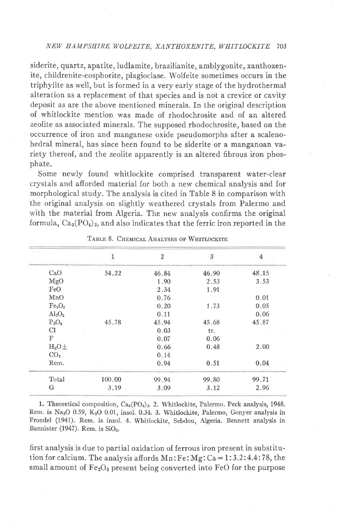## NEW HAMPSHIRE WOLFEITE, XANTHOXENITE, WHITLOCKITE 703

siderite, quartz, apatite, ludlamite, brazilianite, amblygonite, xanthoxenite, childrenite-eosphorite, plagioclase. Wolfeite sometimes occurs in the triphylite as well, but is formed in a very early stage of the hydrothermal alteration as a replacement of that species and is not a crevice or cavity deposit as are the above mentioned minerals. In the original description of whitlockite mention was made of rhodochrosite and of an altered zeolite as associated minerals. The supposed rhodochrosite, based on the occurrence of iron and manganese oxide pseudomorphs after a scalenohedral mineral, has since been found to be siderite or a manganoan variety thereof, and the zeolite apparently is an altered fibrous iron phosphate.

Some newly found whitlockite comprised transparent water-clear crystals and afforded material for both a new chemical analysis and for morphological study. The analysis is cited in Table 8 in comparison with the original analysis on slightly weathered crystals from Palermo and with the material from Algeria. The new analysis confirms the original formula,  $Ca_3(PO_4)_2$ , and also indicates that the ferric iron reported in the

|                                |        | $\overline{2}$ | $\overline{3}$ |       |
|--------------------------------|--------|----------------|----------------|-------|
| CaO                            | 54,22  | 46.84          | 46.90          | 48.15 |
| MgO                            |        | 1.90           | 2.53           | 3.53  |
| FeO                            |        | 2.34           | 1.91           |       |
| MnO                            |        | 0.76           |                | 0.01  |
| Fe <sub>2</sub> O <sub>3</sub> |        | 0.20           | 1.73           | 0.05  |
| $Al_2O_3$                      |        | 0.11           |                | 0.06  |
| $P_2O_5$                       | 45.78  | 45.94          | 45.68          | 45.87 |
| Cl                             |        | 0.03           | tr.            |       |
| $_{\rm F}$                     |        | 0.07           | 0.06           |       |
| $H_2O \pm$                     |        | 0.66           | 0.48           | 2,00  |
| CO <sub>2</sub>                |        | 0.14           |                |       |
| Rem.                           |        | 0.94           | 0.51           | 0.04  |
| Total                          | 100.00 | 99.94          | 99.80          | 99.71 |
| G                              | 3.19   | 3.09           | 3.12           | 2.96  |

TABLE 8. CHEMICAL ANALYSES OF WHITLOCKITE

1. Theoretical composition, Ca<sub>3</sub>(PO<sub>4</sub>)<sub>2</sub>. 2. Whitlockite, Palermo. Peck analysis, 1948. Rem. is Na<sub>2</sub>O 0.59, K<sub>2</sub>O 0.01, insol. 0.34. 3. Whitlockite, Palermo, Gonyer analysis in Frondel (1941). Rem. is insol. 4. Whitlockite, Sebdou, Algeria. Bennett analysis in Bannister (1947). Rem. is SiO<sub>2</sub>.

first analysis is due to partial oxidation of ferrous iron present in substitution for calcium. The analysis affords  $Mn:Fe:Mg:Ca=1:3.2:4.4:78$ , the small amount of  $Fe<sub>2</sub>O<sub>3</sub>$  present being converted into FeO for the purpose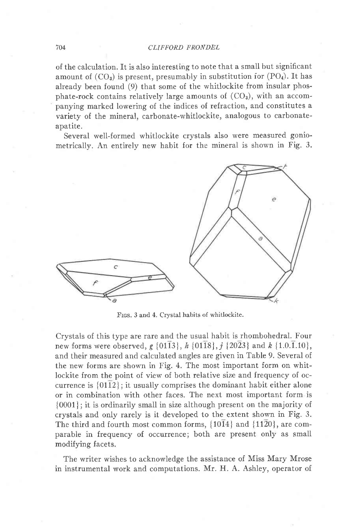#### 704 CLIFFORD FRONDEL

of the calculation. It is also interesting to note that a small but significant amount of  $(CO_3)$  is present, presumably in substitution for  $(PO_4)$ . It has already been found (9) that some of the whitlockite from insular phosphate-rock contains relatively large amounts of  $(CO<sub>3</sub>)$ , with an accompanying marked lowering of the indices of refraction, and constitutes a variety of the mineral, carbonate-whitlockite, analogous to carbonateapatite.

Several well-formed whitlockite crystals also were measured goniometrically. An entirely new habit for the mineral is shown in Fig. 3.



FIGS. 3 and 4. Crystal habits of whitlockite.

Crystals of this type are rare and the usual habit is rhombohedral. Four new forms were observed, g  $\{01\overline{1}3\}$ , h  $\{01\overline{1}8\}$ , j  $\{20\overline{2}3\}$  and k  $\{1.0.\overline{1}.10\}$ , and their measured and calculated angles are given in Table 9. Several of the new forms are shown in Fig. 4. The most important form on whitlockite from the point of view of both relative size and frequency of occurrence is  $\{0112\}$ ; it usually comprises the dominant habit either alone or in combination with other faces. The next most important form is {0001}; it is ordinarily small in size although present on the majority of crystals and only rarely is it developed to the extent shown in Fig. 3. The third and fourth most common forms,  $\{10\overline{14}\}$  and  $\{11\overline{20}\}$ , are comparable in frequency of occurrence; both are present only as small modifying facets.

The writer wishes to acknowledge the assistance of Miss Mary Mrose in instrumental work and computations. Mr. H. A. Ashley, operator of